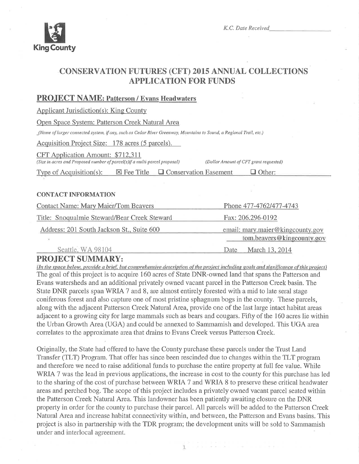

K.C. Date Received

## **CONSERVATION FUTURES (CFT) 2015 ANNUAL COLLECTIONS APPLICATION FOR FUNDS**

### **PROJECT NAME: Patterson / Evans Headwaters**

**Applicant Jurisdiction(s): King County** 

Open Space System: Patterson Creek Natural Area

(Name of larger connected system, if any, such as Cedar River Greenway, Mountains to Sound, a Regional Trail, etc.)

Acquisition Project Size: 178 acres (5 parcels).

CFT Application Amount: \$712,311

(Size in acres and Proposed number of parcel(s)if a multi-parcel proposal)

(Dollar Amount of CFT grant requested)

Type of Acquisition $(s)$ :  $\boxtimes$  Fee Title  $\Box$  Conservation Easement  $\Box$  Other:

#### **CONTACT INFORMATION**

| <b>Contact Name: Mary Maier/Tom Beavers</b>  | Phone 477-4762/477-4743<br>Fax: 206.296-0192<br>email: mary.maier@kingcounty.gov |  |  |
|----------------------------------------------|----------------------------------------------------------------------------------|--|--|
| Title: Snoqualmie Steward/Bear Creek Steward |                                                                                  |  |  |
| Address: 201 South Jackson St., Suite 600    |                                                                                  |  |  |
|                                              | tom.beavers@kingcounty.gov                                                       |  |  |
| Seattle WA 98104                             | March 13 2014<br>Date                                                            |  |  |

## **PROJECT SUMMARY:**

(In the space below, provide a brief, but comprehensive description of the project including goals and significance of this project) The goal of this project is to acquire 160 acres of State DNR-owned land that spans the Patterson and Evans watersheds and an additional privately owned vacant parcel in the Patterson Creek basin. The State DNR parcels span WRIA 7 and 8, are almost entirely forested with a mid to late seral stage coniferous forest and also capture one of most pristine sphagnum bogs in the county. These parcels, along with the adjacent Patterson Creek Natural Area, provide one of the last large intact habitat areas adjacent to a growing city for large mammals such as bears and cougars. Fifty of the 160 acres lie within the Urban Growth Area (UGA) and could be annexed to Sammamish and developed. This UGA area correlates to the approximate area that drains to Evans Creek versus Patterson Creek.

Originally, the State had offered to have the County purchase these parcels under the Trust Land Transfer (TLT) Program. That offer has since been rescinded due to changes within the TLT program and therefore we need to raise additional funds to purchase the entire property at full fee value. While WRIA 7 was the lead in previous applications, the increase in cost to the county for this purchase has led to the sharing of the cost of purchase between WRIA 7 and WRIA 8 to preserve these critical headwater areas and perched bog. The scope of this project includes a privately owned vacant parcel seated within the Patterson Creek Natural Area. This landowner has been patiently awaiting closure on the DNR property in order for the county to purchase their parcel. All parcels will be added to the Patterson Creek Natural Area and increase habitat connectivity within, and between, the Patterson and Evans basins. This project is also in partnership with the TDR program; the development units will be sold to Sammamish under and interlocal agreement.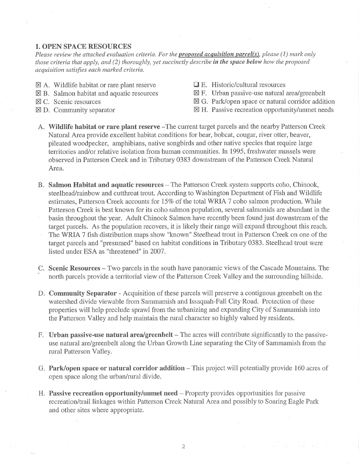#### 1. OPEN SPACE RESOURCES

Please review the attached evaluation criteria. For the **proposed acquisition parcel(s)**, please (1) mark only those criteria that apply, and  $(2)$  thoroughly, yet succinctly describe in the space below how the proposed acquisition satisfies each marked criteria.

- $\boxtimes$  A. Wildlife habitat or rare plant reserve
- $\boxtimes$  B. Salmon habitat and aquatic resources
- $\boxtimes$  C. Scenic resources
- $\boxtimes$  D. Community separator
- $\Box$  E. Historic/cultural resources
- $\boxtimes$  F. Urban passive-use natural area/greenbelt
- $\boxtimes$  G. Park/open space or natural corridor addition
- $\boxtimes$  H. Passive recreation opportunity/unmet needs
- A. Wildlife habitat or rare plant reserve -The current target parcels and the nearby Patterson Creek Natural Area provide excellent habitat conditions for bear, bobcat, cougar, river otter, beaver, pileated woodpecker, amphibians, native songbirds and other native species that require large territories and/or relative isolation from human communities. In 1995, freshwater mussels were observed in Patterson Creek and in Tributary 0383 downstream of the Patterson Creek Natural Area.
- B. Salmon Habitat and aquatic resources The Patterson Creek system supports coho, Chinook, steelhead/rainbow and cutthroat trout. According to Washington Department of Fish and Wildlife estimates, Patterson Creek accounts for 15% of the total WRIA 7 coho salmon production. While Patterson Creek is best known for its coho salmon population, several salmonids are abundant in the basin throughout the year. Adult Chinook Salmon have recently been found just downstream of the target parcels. As the population recovers, it is likely their range will expand throughout this reach. The WRIA 7 fish distribution maps show "known" Steelhead trout in Patterson Creek on one of the target parcels and "presumed" based on habitat conditions in Tributary 0383. Steelhead trout were listed under ESA as "threatened" in 2007.
- C. Scenic Resources Two parcels in the south have panoramic views of the Cascade Mountains. The north parcels provide a territorial view of the Patterson Creek Valley and the surrounding hillside.
- D. Community Separator Acquisition of these parcels will preserve a contiguous greenbelt on the watershed divide viewable from Sammamish and Issaquah-Fall City Road. Protection of these properties will help preclude sprawl from the urbanizing and expanding City of Sammamish into the Patterson Valley and help maintain the rural character so highly valued by residents.
- F. Urban passive-use natural area/greenbelt The acres will contribute significantly to the passiveuse natural are/greenbelt along the Urban Growth Line separating the City of Sammamish from the rural Patterson Valley.
- G. Park/open space or natural corridor addition This project will potentially provide 160 acres of open space along the urban/rural divide.
- H. Passive recreation opportunity/unmet need Property provides opportunities for passive recreation/trail linkages within Patterson Creek Natural Area and possibly to Soaring Eagle Park and other sites where appropriate.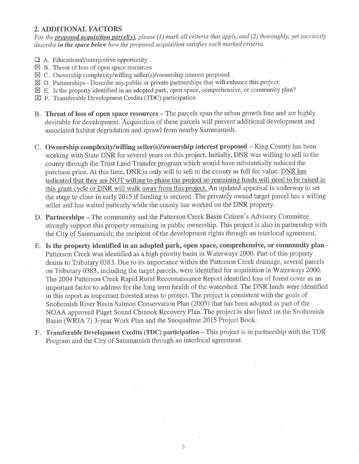#### 2. ADDITIONAL FACTORS

For the proposed acquisition parcel(s), please (1) mark all criteria that apply, and (2) thoroughly, yet succinctly describe in the space below how the proposed acquisition satisfies each marked criteria.

- E A. Educational/interpretive opportunity
- $\boxtimes$  B. Threat of loss of open space resources
- $\boxtimes$  C. Ownership complexity/willing seller(s)/ownership interest proposed
- $\boxtimes$  D. Partnerships Describe any public or private partnerships that will enhance this project:
- $\boxtimes$  E. Is the property identified in an adopted park, open space, comprehensive, or community plan?
- $\boxtimes$  F. Transferable Development Credits (TDC) participation
- B. Threat of loss of open space resources The parcels span the urban growth line and are highly desirable for development. Acquisition of these parcels will prevent additional development and associated habitat degradation and sprawl from nearby Sammamish.
- C. Ownership complexity/willing seller(s)/ownership interest proposed King County has been working with State DNR for seyeral years on this project. Initially, DNR was willing to sell to the county through the Trust Land Transfer program which would have substantially reduced the purchase price. At this time, DNR is only will to sell to the county as full fee value. DNR has indicated that they are NOT willing to phase the project so remaining funds will need to be raised in this grant cycle or DNR will walk away from this project. An updated appraisal is underway to set the stage to close in early 2015 if funding is secured. The privately owned target parcel has a willing seller and has waited patiently while the county has worked on the DNR property.
- D. Partnerships The community and the Patterson Creek Basin Citizen's Advisory Committee strongly support this property remaining in public ownership. This project is also in partnership with the City of Sammamish; the recipient of the development rights through an interlocal agreement.
- E. Is the property identified in an adopted park, open space, comprehensive, or community plan.- Patterson Creek was identified as a high priority basin in Waterways 2000. Part of this property drains to Tributary 0383. Due to its importance within the Patterson Creek drainage, several parcels on Tributary 0383, including the target parcels, were identified for acquisition in Waterways 2000. The 2004 Patterson Creek Rapid Rural Reconnaissance Report identified loss of forest cover as an important factor to address for the long term health of the watershed. The DNR lands were identified in this report as important forested areas to protect. The project is consistent with the goals of Snohomish River Basin Salmon Conservation Plan (2005) that has been adopted as part of the NOAA approved Puget Sound Chinook Recovery Plan. The project is also listed on the Snohomish Basin (WRIA 7) 3-year Work Plan and the Snoqualmie 2015 Project Book.
- F. Transferable Development Credits (TDC) participation This project is in partnership with the TDR Program and the City of Sammamish through an interlocal agreement.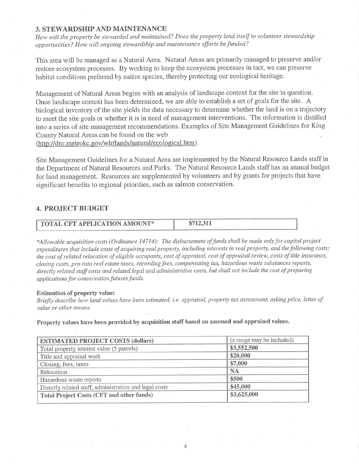#### 3. STEWARDSHIP AND MAINTENANCE

How will the property be stewarded and maintained? Does the property lend itself to volunteer stewardship opportunities? How will ongoing stewardship and maintenance efforts be funded?

This area will be managed as a Natural Area. Natural Areas are primarily managed to preserve and/or restore ecosystem processes. By working to keep the ecosystem processes in tact, we can preserve habitat conditions preferred by native species, thereby protecting our ecological heritage.

Management of Natural Areas begins with an analysis of landscape context for the site in question. Once landscape context has been determined, we are able to establish a set of goals for the site. A biological inventory of the site yields the data necessary to determine whether the land is on a trajectory to meet the site goals or whether it is in need of management interventions. The information is distilled into a series of site management recommendations. Examples of Site Management Guidelines for King County Natural Areas can be found on the web

(http://dnr.metrokc.gov/wlr/lands/natural/ecological.htm).

Site Management Guidelines for a Natural Area are implemented by the Natural Resource Lands staff in the Department of Natural Resources and Parks. The Natural Resource Lands staff has an annual budget for land management. Resources are supplemented by volunteers and by grants for projects that have significant benefits to regional priorities, such as salmon conservation.

#### 4. PROJECT BUDGET

| <b>TOTAL CFT APPLICATION AMOUNT*</b> | \$712,311 |
|--------------------------------------|-----------|
|                                      |           |

\*Allowable acquisition costs (Ordinance 14714): The disbursement of funds shall be made only for capital project expenditures that include costs of acquiring real property, including interests in real property, and the following costs: the cost of related relocation of eligible occupants, cost of appraisal, cost of appraisal review, costs of title insurance, closing costs, pro rata real estate taxes, recording fees, compensating tax, hazardous waste substances reports, directly related staff costs and related legal and administrative costs, but shall not include the cost of preparing applications for conservation futures funds.

#### Estimation of property value:

Briefly describe how land values have been estimated, i.e. appraisal, property tax assessment, asking price, letter of value or other means.

Property values have been provided by acquisition staff based on assessed and appraised values.

| <b>ESTIMATED PROJECT COSTS (dollars)</b>               | (a range may be included) |
|--------------------------------------------------------|---------------------------|
| Total property interest value (5 parcels)              | \$3,552,500               |
| Title and appraisal work                               | \$20,000                  |
| Closing, fees, taxes                                   | \$7,000                   |
| Relocation                                             | <b>NA</b>                 |
| Hazardous waste reports                                | \$500                     |
| Directly related staff, administration and legal costs | \$45,000                  |
| <b>Total Project Costs (CFT and other funds)</b>       | \$3,625,000               |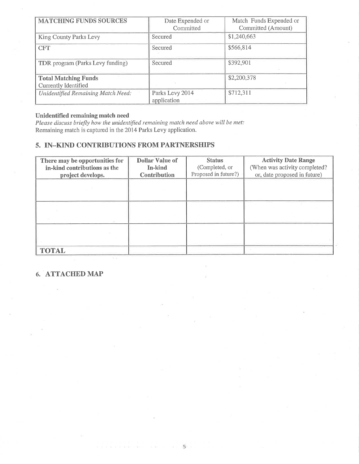| <b>MATCHING FUNDS SOURCES</b>                       | Date Expended or<br>Committed  | Match Funds Expended or<br>Committed (Amount) |
|-----------------------------------------------------|--------------------------------|-----------------------------------------------|
| King County Parks Levy                              | Secured                        | \$1,240,663                                   |
| <b>CFT</b>                                          | Secured                        | \$566,814                                     |
| TDR program (Parks Levy funding)                    | Secured                        | \$392,901                                     |
| <b>Total Matching Funds</b><br>Currently Identified |                                | \$2,200,378                                   |
| Unidentified Remaining Match Need:                  | Parks Levy 2014<br>application | \$712,311                                     |

#### Unidentified remaining match need

Please discuss briefly how the unidentified remaining match need above will be met:<br>Remaining match is captured in the 2014 Parks Levy application.

## 5. IN-KIND CONTRIBUTIONS FROM PARTNERSHIPS

| There may be opportunities for<br>in-kind contributions as the<br>project develops. | <b>Dollar Value of</b><br>In-kind<br><b>Contribution</b> | <b>Status</b><br>(Completed, or<br>Proposed in future?) | <b>Activity Date Range</b><br>(When was activity completed?<br>or, date proposed in future) |
|-------------------------------------------------------------------------------------|----------------------------------------------------------|---------------------------------------------------------|---------------------------------------------------------------------------------------------|
|                                                                                     |                                                          |                                                         |                                                                                             |
|                                                                                     |                                                          |                                                         |                                                                                             |
|                                                                                     |                                                          |                                                         |                                                                                             |
| <b>TOTAL</b>                                                                        |                                                          |                                                         |                                                                                             |

## 6. ATTACHED MAP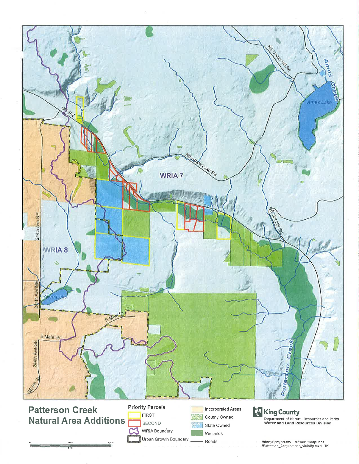